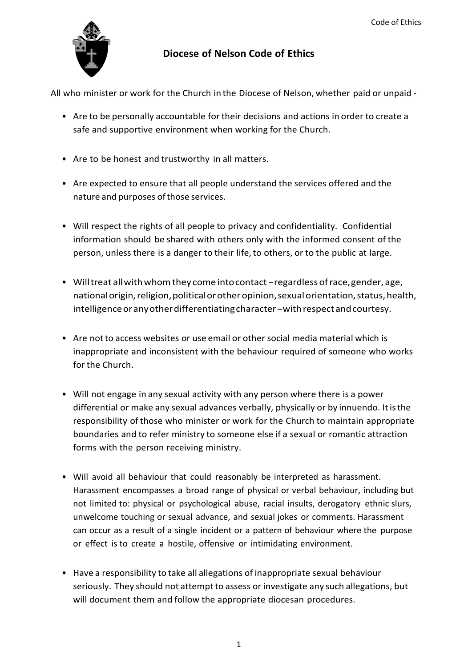

## **Diocese of Nelson Code of Ethics**

All who minister or work for the Church in the Diocese of Nelson, whether paid or unpaid -

- Are to be personally accountable for their decisions and actions in order to create a safe and supportive environment when working for the Church.
- Are to be honest and trustworthy in all matters.
- Are expected to ensure that all people understand the services offered and the nature and purposes ofthose services.
- Will respect the rights of all people to privacy and confidentiality. Confidential information should be shared with others only with the informed consent of the person, unless there is a danger to their life, to others, or to the public at large.
- Will treat all with whom they come into contact regardless of race, gender, age, nationalorigin,religion,politicalorotheropinion,sexualorientation,status,health, intelligence or any other differentiating character - with respect and courtesy.
- Are notto access websites or use email or other social media material which is inappropriate and inconsistent with the behaviour required of someone who works for the Church.
- Will not engage in any sexual activity with any person where there is a power differential or make any sexual advances verbally, physically or by innuendo. Itisthe responsibility of those who minister or work for the Church to maintain appropriate boundaries and to refer ministry to someone else if a sexual or romantic attraction forms with the person receiving ministry.
- Will avoid all behaviour that could reasonably be interpreted as harassment. Harassment encompasses a broad range of physical or verbal behaviour, including but not limited to: physical or psychological abuse, racial insults, derogatory ethnic slurs, unwelcome touching or sexual advance, and sexual jokes or comments. Harassment can occur as a result of a single incident or a pattern of behaviour where the purpose or effect is to create a hostile, offensive or intimidating environment.
- Have a responsibility to take all allegations of inappropriate sexual behaviour seriously. They should not attempt to assess or investigate any such allegations, but will document them and follow the appropriate diocesan procedures.